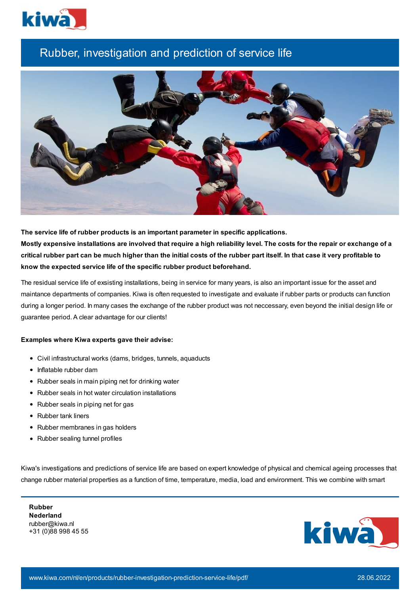

## Rubber, investigation and prediction of service life



**The service life of rubber products is an important parameter in specific applications.** Mostly expensive installations are involved that require a high reliability level. The costs for the repair or exchange of a critical rubber part can be much higher than the initial costs of the rubber part itself. In that case it very profitable to **know the expected service life of the specific rubber product beforehand.**

The residual service life of exsisting installations, being in service for many years, is also an important issue for the asset and maintance departments of companies. Kiwa is often requested to investigate and evaluate if rubber parts or products can function during a longer period. In many cases the exchange of the rubber product was not neccessary, even beyond the initial design life or guarantee period. A clear advantage for our clients!

## **Examples where Kiwa experts gave their advise:**

- Civil infrastructural works (dams, bridges, tunnels, aquaducts
- Inflatable rubber dam
- Rubber seals in main piping net for drinking water
- Rubber seals in hot water circulation installations
- Rubber seals in piping net for gas
- Rubber tank liners
- Rubber membranes in gas holders
- Rubber sealing tunnel profiles

Kiwa's investigations and predictions of service life are based on expert knowledge of physical and chemical ageing processes that change rubber material properties as a function of time, temperature, media, load and environment. This we combine with smart

**Rubber Nederland** rubber@kiwa.nl +31 (0)88 998 45 55